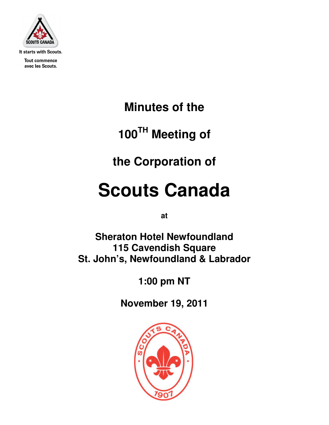

It starts with Scouts.

**Tout commence** avec les Scouts.

**Minutes of the** 

**100TH Meeting of** 

**the Corporation of** 

# **Scouts Canada**

**at** 

**Sheraton Hotel Newfoundland 115 Cavendish Square St. John's, Newfoundland & Labrador** 

**1:00 pm NT** 

**November 19, 2011** 

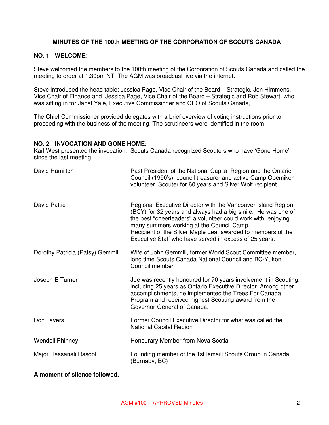# **MINUTES OF THE 100th MEETING OF THE CORPORATION OF SCOUTS CANADA**

## **NO. 1 WELCOME:**

Steve welcomed the members to the 100th meeting of the Corporation of Scouts Canada and called the meeting to order at 1:30pm NT. The AGM was broadcast live via the internet.

Steve introduced the head table; Jessica Page, Vice Chair of the Board – Strategic, Jon Himmens, Vice Chair of Finance and Jessica Page, Vice Chair of the Board – Strategic and Rob Stewart, who was sitting in for Janet Yale, Executive Commissioner and CEO of Scouts Canada,

The Chief Commissioner provided delegates with a brief overview of voting instructions prior to proceeding with the business of the meeting. The scrutineers were identified in the room.

#### **NO. 2 INVOCATION AND GONE HOME:**

Karl West presented the invocation. Scouts Canada recognized Scouters who have 'Gone Home' since the last meeting:

| David Hamilton                   | Past President of the National Capital Region and the Ontario<br>Council (1990's), council treasurer and active Camp Opemikon<br>volunteer. Scouter for 60 years and Silver Wolf recipient.                                                                                                                                                                          |
|----------------------------------|----------------------------------------------------------------------------------------------------------------------------------------------------------------------------------------------------------------------------------------------------------------------------------------------------------------------------------------------------------------------|
| David Pattie                     | Regional Executive Director with the Vancouver Island Region<br>(BCY) for 32 years and always had a big smile. He was one of<br>the best "cheerleaders" a volunteer could work with, enjoying<br>many summers working at the Council Camp.<br>Recipient of the Silver Maple Leaf awarded to members of the<br>Executive Staff who have served in excess of 25 years. |
| Dorothy Patricia (Patsy) Gemmill | Wife of John Gemmill, former World Scout Committee member,<br>long time Scouts Canada National Council and BC-Yukon<br>Council member                                                                                                                                                                                                                                |
| Joseph E Turner                  | Joe was recently honoured for 70 years involvement in Scouting,<br>including 25 years as Ontario Executive Director. Among other<br>accomplishments, he implemented the Trees For Canada<br>Program and received highest Scouting award from the<br>Governor-General of Canada.                                                                                      |
| Don Lavers                       | Former Council Executive Director for what was called the<br><b>National Capital Region</b>                                                                                                                                                                                                                                                                          |
| <b>Wendell Phinney</b>           | Honourary Member from Nova Scotia                                                                                                                                                                                                                                                                                                                                    |
| Major Hassanali Rasool           | Founding member of the 1st Ismaili Scouts Group in Canada.<br>(Burnaby, BC)                                                                                                                                                                                                                                                                                          |

## **A moment of silence followed.**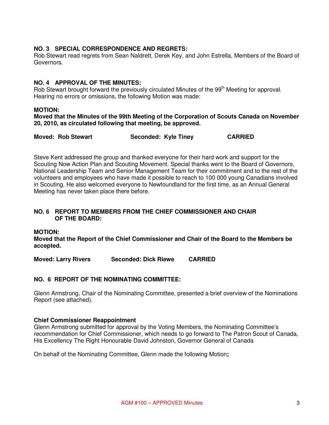# **NO. 3 SPECIAL CORRESPONDENCE AND REGRETS:**

Rob Stewart read regrets from Sean Naldrett, Derek Key, and John Estrella, Members of the Board of Governors.

# **NO. 4 APPROVAL OF THE MINUTES:**

Rob Stewart brought forward the previously circulated Minutes of the 99<sup>th</sup> Meeting for approval. Hearing no errors or omissions, the following Motion was made:

## **MOTION:**

**Moved that the Minutes of the 99th Meeting of the Corporation of Scouts Canada on November 20, 2010, as circulated following that meeting, be approved.** 

| <b>Moved: Rob Stewart</b> | Seconded: Kyle Tiney | <b>CARRIED</b> |
|---------------------------|----------------------|----------------|
|---------------------------|----------------------|----------------|

Steve Kent addressed the group and thanked everyone for their hard work and support for the Scouting Now Action Plan and Scouting Movement. Special thanks went to the Board of Governors, National Leadership Team and Senior Management Team for their commitment and to the rest of the volunteers and employees who have made it possible to reach to 100 000 young Canadians involved in Scouting. He also welcomed everyone to Newfoundland for the first time, as an Annual General Meeting has never taken place there before.

# **NO. 6 REPORT TO MEMBERS FROM THE CHIEF COMMISSIONER AND CHAIR OF THE BOARD:**

**MOTION:** 

**Moved that the Report of the Chief Commissioner and Chair of the Board to the Members be accepted.** 

**Moved: Larry Rivers Seconded: Dick Riewe CARRIED** 

# **NO. 6 REPORT OF THE NOMINATING COMMITTEE:**

Glenn Armstrong, Chair of the Nominating Committee, presented a brief overview of the Nominations Report (see attached).

#### **Chief Commissioner Reappointment**

Glenn Armstrong submitted for approval by the Voting Members, the Nominating Committee's recommendation for Chief Commissioner, which needs to go forward to The Patron Scout of Canada, His Excellency The Right Honourable David Johnston, Governor General of Canada

On behalf of the Nominating Committee, Glenn made the following Motion**;**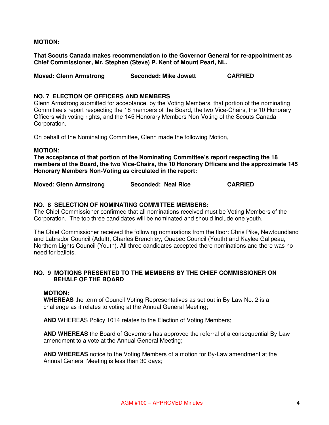# **MOTION:**

**That Scouts Canada makes recommendation to the Governor General for re-appointment as Chief Commissioner, Mr. Stephen (Steve) P. Kent of Mount Pearl, NL.** 

**Moved: Glenn Armstrong Seconded: Mike Jowett CARRIED** 

# **NO. 7 ELECTION OF OFFICERS AND MEMBERS**

Glenn Armstrong submitted for acceptance, by the Voting Members, that portion of the nominating Committee's report respecting the 18 members of the Board, the two Vice-Chairs, the 10 Honorary Officers with voting rights, and the 145 Honorary Members Non-Voting of the Scouts Canada Corporation.

On behalf of the Nominating Committee, Glenn made the following Motion,

# **MOTION:**

**The acceptance of that portion of the Nominating Committee's report respecting the 18 members of the Board, the two Vice-Chairs, the 10 Honorary Officers and the approximate 145 Honorary Members Non-Voting as circulated in the report:** 

**Moved: Glenn Armstrong Seconded: Neal Rice CARRIED** 

## **NO. 8 SELECTION OF NOMINATING COMMITTEE MEMBERS:**

The Chief Commissioner confirmed that all nominations received must be Voting Members of the Corporation. The top three candidates will be nominated and should include one youth.

The Chief Commissioner received the following nominations from the floor: Chris Pike, Newfoundland and Labrador Council (Adult), Charles Brenchley, Quebec Council (Youth) and Kaylee Galipeau, Northern Lights Council (Youth). All three candidates accepted there nominations and there was no need for ballots.

# **NO. 9 MOTIONS PRESENTED TO THE MEMBERS BY THE CHIEF COMMISSIONER ON BEHALF OF THE BOARD**

## **MOTION:**

**WHEREAS** the term of Council Voting Representatives as set out in By-Law No. 2 is a challenge as it relates to voting at the Annual General Meeting;

**AND** WHEREAS Policy 1014 relates to the Election of Voting Members;

**AND WHEREAS** the Board of Governors has approved the referral of a consequential By-Law amendment to a vote at the Annual General Meeting;

**AND WHEREAS** notice to the Voting Members of a motion for By-Law amendment at the Annual General Meeting is less than 30 days;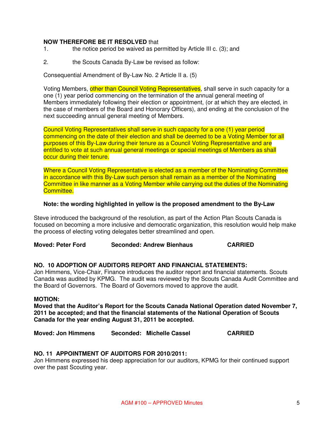## **NOW THEREFORE BE IT RESOLVED** that

- 1. the notice period be waived as permitted by Article III c. (3); and
- 2. the Scouts Canada By-Law be revised as follow:

Consequential Amendment of By-Law No. 2 Article II a. (5)

Voting Members, other than Council Voting Representatives, shall serve in such capacity for a one (1) year period commencing on the termination of the annual general meeting of Members immediately following their election or appointment, (or at which they are elected, in the case of members of the Board and Honorary Officers), and ending at the conclusion of the next succeeding annual general meeting of Members.

Council Voting Representatives shall serve in such capacity for a one (1) year period commencing on the date of their election and shall be deemed to be a Voting Member for all purposes of this By-Law during their tenure as a Council Voting Representative and are entitled to vote at such annual general meetings or special meetings of Members as shall occur during their tenure.

Where a Council Voting Representative is elected as a member of the Nominating Committee in accordance with this By-Law such person shall remain as a member of the Nominating Committee in like manner as a Voting Member while carrying out the duties of the Nominating Committee.

## **Note: the wording highlighted in yellow is the proposed amendment to the By-Law**

Steve introduced the background of the resolution, as part of the Action Plan Scouts Canada is focused on becoming a more inclusive and democratic organization, this resolution would help make the process of electing voting delegates better streamlined and open.

**Moved: Peter Ford Seconded: Andrew Bienhaus CARRIED** 

#### **NO. 10 ADOPTION OF AUDITORS REPORT AND FINANCIAL STATEMENTS:**

Jon Himmens, Vice-Chair, Finance introduces the auditor report and financial statements. Scouts Canada was audited by KPMG. The audit was reviewed by the Scouts Canada Audit Committee and the Board of Governors. The Board of Governors moved to approve the audit.

#### **MOTION:**

**Moved that the Auditor's Report for the Scouts Canada National Operation dated November 7, 2011 be accepted; and that the financial statements of the National Operation of Scouts Canada for the year ending August 31, 2011 be accepted.** 

**Moved: Jon Himmens Seconded: Michelle Cassel CARRIED** 

#### **NO. 11 APPOINTMENT OF AUDITORS FOR 2010/2011:**

Jon Himmens expressed his deep appreciation for our auditors, KPMG for their continued support over the past Scouting year.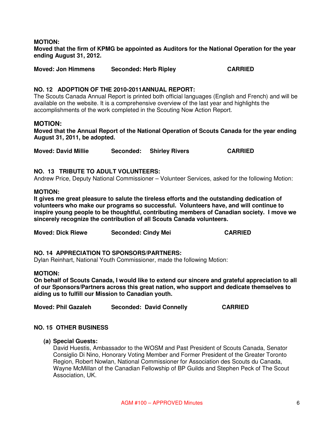## **MOTION:**

**Moved that the firm of KPMG be appointed as Auditors for the National Operation for the year ending August 31, 2012.** 

**Moved: Jon Himmens Seconded: Herb Ripley CARRIED** 

## **NO. 12 ADOPTION OF THE 2010-2011ANNUAL REPORT:**

The Scouts Canada Annual Report is printed both official languages (English and French) and will be available on the website. It is a comprehensive overview of the last year and highlights the accomplishments of the work completed in the Scouting Now Action Report.

# **MOTION:**

**Moved that the Annual Report of the National Operation of Scouts Canada for the year ending August 31, 2011, be adopted.** 

**Moved: David Millie Seconded: Shirley Rivers CARRIED** 

# **NO. 13 TRIBUTE TO ADULT VOLUNTEERS:**

Andrew Price, Deputy National Commissioner – Volunteer Services, asked for the following Motion:

## **MOTION:**

**It gives me great pleasure to salute the tireless efforts and the outstanding dedication of volunteers who make our programs so successful. Volunteers have, and will continue to inspire young people to be thoughtful, contributing members of Canadian society. I move we sincerely recognize the contribution of all Scouts Canada volunteers.** 

| <b>CARRIED</b><br><b>Moved: Dick Riewe</b><br><b>Seconded: Cindy Mei</b> |  |
|--------------------------------------------------------------------------|--|
|--------------------------------------------------------------------------|--|

#### **NO. 14 APPRECIATION TO SPONSORS/PARTNERS:**

Dylan Reinhart, National Youth Commissioner, made the following Motion:

#### **MOTION:**

**On behalf of Scouts Canada, I would like to extend our sincere and grateful appreciation to all of our Sponsors/Partners across this great nation, who support and dedicate themselves to aiding us to fulfill our Mission to Canadian youth.**

**Moved: Phil Gazaleh Seconded: David Connelly CARRIED** 

## **NO. 15 OTHER BUSINESS**

## **(a) Special Guests:**

David Huestis, Ambassador to the WOSM and Past President of Scouts Canada, Senator Consiglio Di Nino, Honorary Voting Member and Former President of the Greater Toronto Region, Robert Nowlan, National Commissioner for Association des Scouts du Canada, Wayne McMillan of the Canadian Fellowship of BP Guilds and Stephen Peck of The Scout Association, UK.